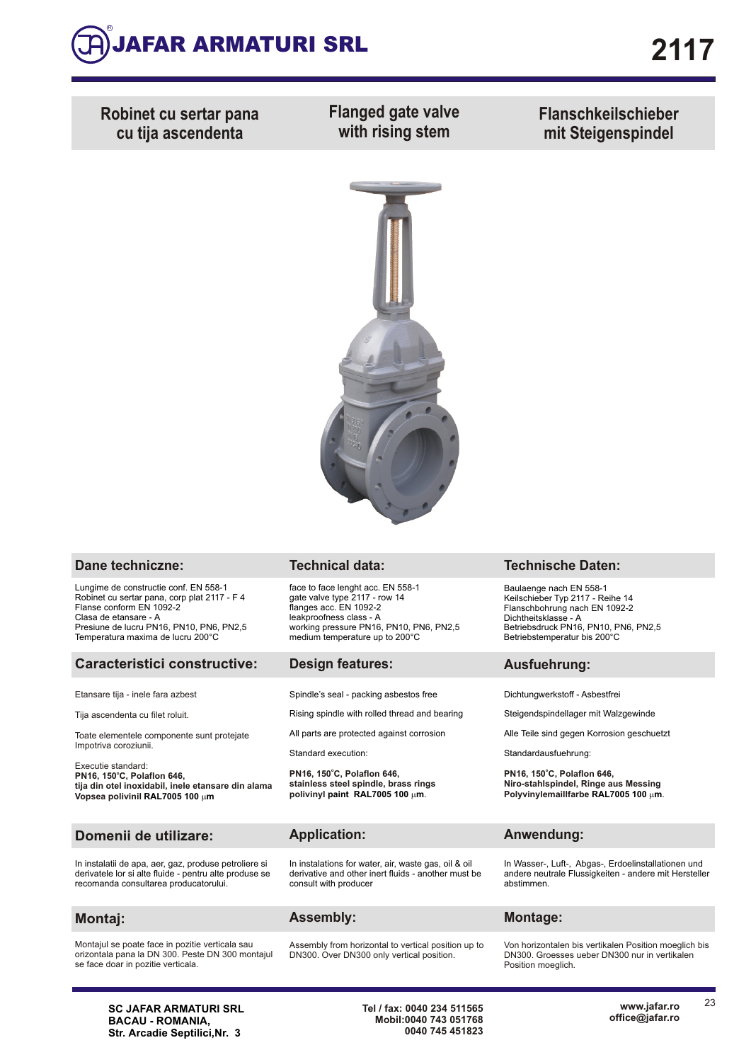

**Robinet cu sertar pana cu tija ascendenta**

**Flanged gate valve with rising stem**

**Flanschkeilschieber mit Steigenspindel**



| Dane techniczne:                                                                                                                                                                                                            | <b>Technical data:</b>                                                                                                                                                                               | <b>Technische Daten:</b>                                                                                                                                                                     |  |  |  |  |  |  |
|-----------------------------------------------------------------------------------------------------------------------------------------------------------------------------------------------------------------------------|------------------------------------------------------------------------------------------------------------------------------------------------------------------------------------------------------|----------------------------------------------------------------------------------------------------------------------------------------------------------------------------------------------|--|--|--|--|--|--|
| Lungime de constructie conf. EN 558-1<br>Robinet cu sertar pana, corp plat 2117 - F 4<br>Flanse conform EN 1092-2<br>Clasa de etansare - A<br>Presiune de lucru PN16, PN10, PN6, PN2,5<br>Temperatura maxima de lucru 200°C | face to face lenght acc. EN 558-1<br>gate valve type 2117 - row 14<br>flanges acc. EN 1092-2<br>leakproofness class - A<br>working pressure PN16, PN10, PN6, PN2,5<br>medium temperature up to 200°C | Baulaenge nach EN 558-1<br>Keilschieber Typ 2117 - Reihe 14<br>Flanschbohrung nach EN 1092-2<br>Dichtheitsklasse - A<br>Betriebsdruck PN16, PN10, PN6, PN2,5<br>Betriebstemperatur bis 200°C |  |  |  |  |  |  |
| <b>Caracteristici constructive:</b>                                                                                                                                                                                         | <b>Design features:</b>                                                                                                                                                                              | Ausfuehrung:                                                                                                                                                                                 |  |  |  |  |  |  |
| Etansare tija - inele fara azbest                                                                                                                                                                                           | Spindle's seal - packing asbestos free                                                                                                                                                               | Dichtungwerkstoff - Asbestfrei                                                                                                                                                               |  |  |  |  |  |  |
| Tija ascendenta cu filet roluit.                                                                                                                                                                                            | Rising spindle with rolled thread and bearing                                                                                                                                                        | Steigendspindellager mit Walzgewinde                                                                                                                                                         |  |  |  |  |  |  |
| Toate elementele componente sunt protejate<br>Impotriva coroziunii.                                                                                                                                                         | All parts are protected against corrosion                                                                                                                                                            | Alle Teile sind gegen Korrosion geschuetzt                                                                                                                                                   |  |  |  |  |  |  |
| Executie standard:                                                                                                                                                                                                          | Standard execution:                                                                                                                                                                                  | Standardausfuehrung:<br>PN16, 150°C, Polaflon 646,<br>Niro-stahlspindel, Ringe aus Messing<br>Polyvinylemaillfarbe RAL7005 100 um.                                                           |  |  |  |  |  |  |
| PN16, 150°C, Polaflon 646,<br>tija din otel inoxidabil, inele etansare din alama<br>Vopsea polivinil RAL7005 100 um                                                                                                         | PN16, 150°C, Polaflon 646,<br>stainless steel spindle, brass rings<br>polivinyl paint RAL7005 100 um.                                                                                                |                                                                                                                                                                                              |  |  |  |  |  |  |
| Domenii de utilizare:                                                                                                                                                                                                       | <b>Application:</b>                                                                                                                                                                                  | Anwendung:                                                                                                                                                                                   |  |  |  |  |  |  |
| In instalatii de apa, aer, gaz, produse petroliere si<br>derivatele lor si alte fluide - pentru alte produse se<br>recomanda consultarea producatorului.                                                                    | In instalations for water, air, waste gas, oil & oil<br>derivative and other inert fluids - another must be<br>consult with producer                                                                 | In Wasser-, Luft-, Abgas-, Erdoelinstallationen und<br>andere neutrale Flussigkeiten - andere mit Hersteller<br>abstimmen.                                                                   |  |  |  |  |  |  |
| Montaj:                                                                                                                                                                                                                     | <b>Assembly:</b>                                                                                                                                                                                     | <b>Montage:</b>                                                                                                                                                                              |  |  |  |  |  |  |
| Montajul se poate face in pozitie verticala sau<br>orizontala pana la DN 300. Peste DN 300 montajul<br>se face doar in pozitie verticala.                                                                                   | Assembly from horizontal to vertical position up to<br>DN300. Over DN300 only vertical position.                                                                                                     | Von horizontalen bis vertikalen Position moeglich bis<br>DN300. Groesses ueber DN300 nur in vertikalen<br>Position moeglich.                                                                 |  |  |  |  |  |  |

**SC JAFAR ARMATURI SRL BACAU - ROMANIA, Str. Arcadie Septilici,Nr. 3**

**Tel / fax: 0040 234 511565 Mobil:0040 743 051768 0040 745 451823** 23